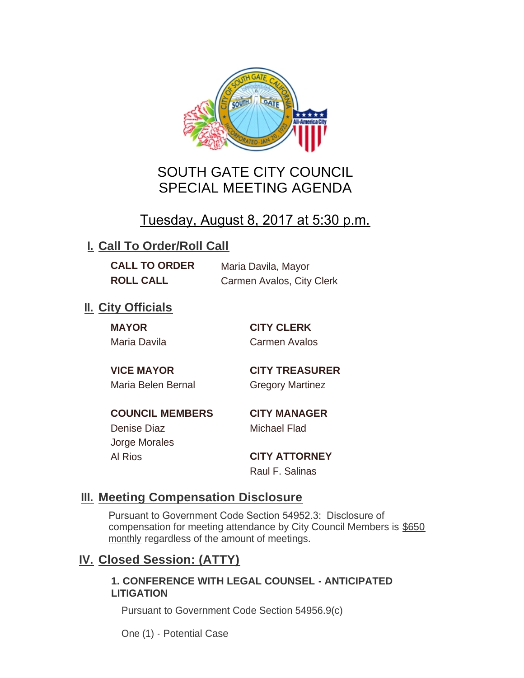

# SOUTH GATE CITY COUNCIL SPECIAL MEETING AGENDA

# Tuesday, August 8, 2017 at 5:30 p.m.

## **I. Call To Order/Roll Call**

**CALL TO ORDER** Maria Davila, Mayor

**ROLL CALL** Carmen Avalos, City Clerk

## **II.** City Officials

**MAYOR CITY CLERK** Maria Davila Carmen Avalos

Maria Belen Bernal **Gregory Martinez** 

**VICE MAYOR CITY TREASURER**

**COUNCIL MEMBERS CITY MANAGER** Denise Diaz Michael Flad

Jorge Morales

Al Rios **CITY ATTORNEY** Raul F. Salinas

### **Meeting Compensation Disclosure III.**

Pursuant to Government Code Section 54952.3: Disclosure of compensation for meeting attendance by City Council Members is \$650 monthly regardless of the amount of meetings.

### **Closed Session: (ATTY) IV.**

#### **1. CONFERENCE WITH LEGAL COUNSEL - ANTICIPATED LITIGATION**

Pursuant to Government Code Section 54956.9(c)

One (1) - Potential Case